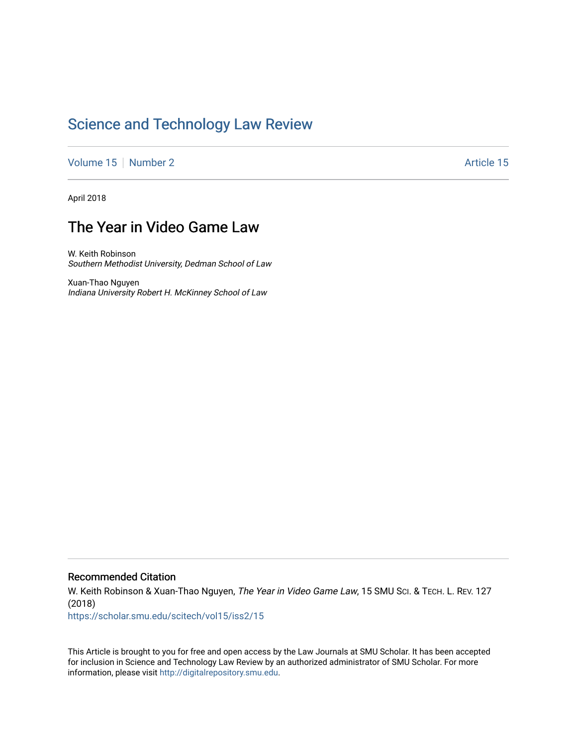# [Science and Technology Law Review](https://scholar.smu.edu/scitech)

[Volume 15](https://scholar.smu.edu/scitech/vol15) [Number 2](https://scholar.smu.edu/scitech/vol15/iss2) Article 15

April 2018

## The Year in Video Game Law

W. Keith Robinson Southern Methodist University, Dedman School of Law

Xuan-Thao Nguyen Indiana University Robert H. McKinney School of Law

#### Recommended Citation

W. Keith Robinson & Xuan-Thao Nguyen, The Year in Video Game Law, 15 SMU Sci. & TECH. L. REV. 127 (2018)

[https://scholar.smu.edu/scitech/vol15/iss2/15](https://scholar.smu.edu/scitech/vol15/iss2/15?utm_source=scholar.smu.edu%2Fscitech%2Fvol15%2Fiss2%2F15&utm_medium=PDF&utm_campaign=PDFCoverPages)

This Article is brought to you for free and open access by the Law Journals at SMU Scholar. It has been accepted for inclusion in Science and Technology Law Review by an authorized administrator of SMU Scholar. For more information, please visit [http://digitalrepository.smu.edu](http://digitalrepository.smu.edu/).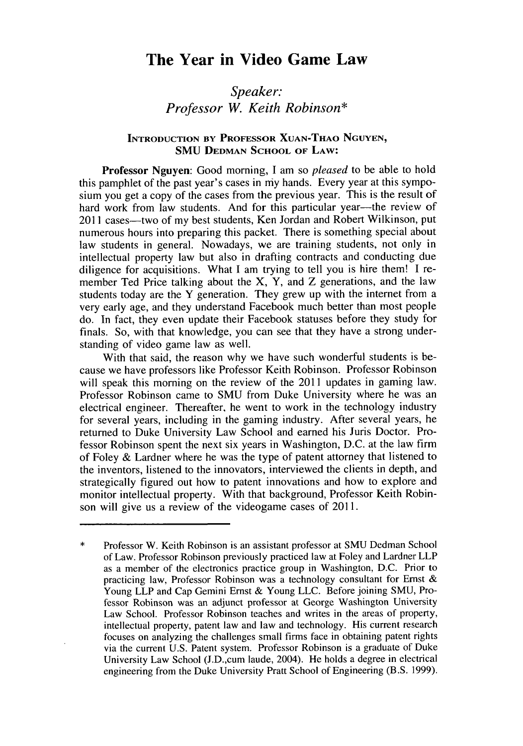## **The Year in Video Game Law**

### *Speaker: Professor W. Keith Robinson\**

#### **INTRODUCTION BY PROFESSOR XUAN-THAO NGUYEN, SMU DEDMAN SCHOOL OF LAW:**

**Professor Nguyen: Good** morning, **I** am so *pleased* to be able to hold this pamphlet of the past year's cases in my hands. Every year at this symposium you get a copy of the cases from the previous year. This is the result of hard work from law students. And for this particular year—the review of 2011 cases—two of my best students, Ken Jordan and Robert Wilkinson, put numerous hours into preparing this packet. There is something special about law students in general. Nowadays, we are training students, not only in intellectual property law but also in drafting contracts and conducting due diligence for acquisitions. What **I** am trying to tell you is hire them! **I** remember Ted Price talking about the X, Y, and Z generations, and the law students today are the Y generation. They grew up with the internet from a very early age, and they understand Facebook much better than most people do. In fact, they even update their Facebook statuses before they study for finals. So, with that knowledge, you can see that they have a strong understanding of video game law as well.

With that said, the reason why we have such wonderful students is because we have professors like Professor Keith Robinson. Professor Robinson will speak this morning on the review of the 2011 updates in gaming law. Professor Robinson came to **SMU** from Duke University where he was an electrical engineer. Thereafter, he went to work in the technology industry for several years, including in the gaming industry. After several years, he returned to Duke University Law School and earned his Juris Doctor. Professor Robinson spent the next six years in Washington, D.C. at the law firm of Foley & Lardner where he was the type of patent attorney that listened to the inventors, listened to the innovators, interviewed the clients in depth, and strategically figured out how to patent innovations and how to explore and monitor intellectual property. With that background, Professor Keith Robinson will give us a review of the videogame cases of 2011.

 $\ast$ Professor W. Keith Robinson is an assistant professor at SMU Dedman School of Law. Professor Robinson previously practiced law at Foley and Lardner LLP as a member of the electronics practice group in Washington, D.C. Prior to practicing law, Professor Robinson was a technology consultant for Ernst & Young LLP and Cap Gemini Ernst & Young LLC. Before joining SMU, Professor Robinson was an adjunct professor at George Washington University Law School. Professor Robinson teaches and writes in the areas of property, intellectual property, patent law and law and technology. His current research focuses on analyzing the challenges small firms face in obtaining patent rights via the current U.S. Patent system. Professor Robinson is a graduate of Duke University Law School (J.D.,cum laude, 2004). He holds a degree in electrical engineering from the Duke University Pratt School of Engineering (B.S. 1999).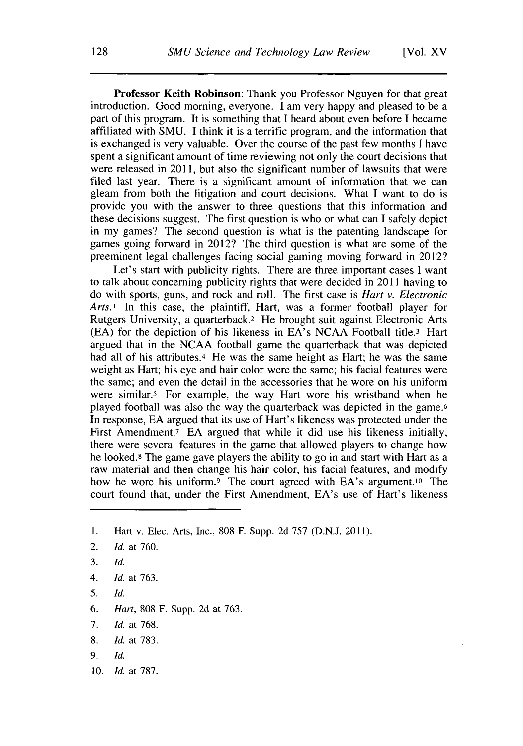**Professor Keith Robinson:** Thank you Professor Nguyen for that great introduction. Good morning, everyone. I am very happy and pleased to be a part of this program. It is something that I heard about even before I became affiliated with SMU. I think it is a terrific program, and the information that is exchanged is very valuable. Over the course of the past few months I have spent a significant amount of time reviewing not only the court decisions that were released in 2011, but also the significant number of lawsuits that were filed last year. There is a significant amount of information that we can gleam from both the litigation and court decisions. What I want to do is provide you with the answer to three questions that this information and these decisions suggest. The first question is who or what can I safely depict in my games? The second question is what is the patenting landscape for games going forward in 2012? The third question is what are some of the preeminent legal challenges facing social gaming moving forward in 2012?

Let's start with publicity rights. There are three important cases I want to talk about concerning publicity rights that were decided in 2011 having to do with sports, guns, and rock and roll. The first case is *Hart v. Electronic Arts.'* In this case, the plaintiff, Hart, was a former football player for Rutgers University, a quarterback.2 He brought suit against Electronic Arts (EA) for the depiction of his likeness in EA's NCAA Football title.3 Hart argued that in the NCAA football game the quarterback that was depicted had all of his attributes.<sup>4</sup> He was the same height as Hart; he was the same weight as Hart; his eye and hair color were the same; his facial features were the same; and even the detail in the accessories that he wore on his uniform were similar.5 For example, the way Hart wore his wristband when he played football was also the way the quarterback was depicted in the game. <sup>6</sup> In response, EA argued that its use of Hart's likeness was protected under the First Amendment.<sup>7</sup> EA argued that while it did use his likeness initially, there were several features in the game that allowed players to change how he looked.8 The game gave players the ability to go in and start with Hart as a raw material and then change his hair color, his facial features, and modify how he wore his uniform.<sup>9</sup> The court agreed with EA's argument.<sup>10</sup> The court found that, under the First Amendment, EA's use of Hart's likeness

- **3.** *Id.*
- *4. Id.* at 763.
- 5. *Id.*
- 6. *Hart,* 808 F. Supp. 2d at 763.
- 7. *Id.* at 768.
- 8. *Id.* at 783.
- *9. Id.*
- 10. *Id.* at 787.

**I.** Hart v. Elec. Arts, Inc., 808 F. Supp. 2d 757 (D.N.J. 2011).

<sup>2.</sup> *Id.* at 760.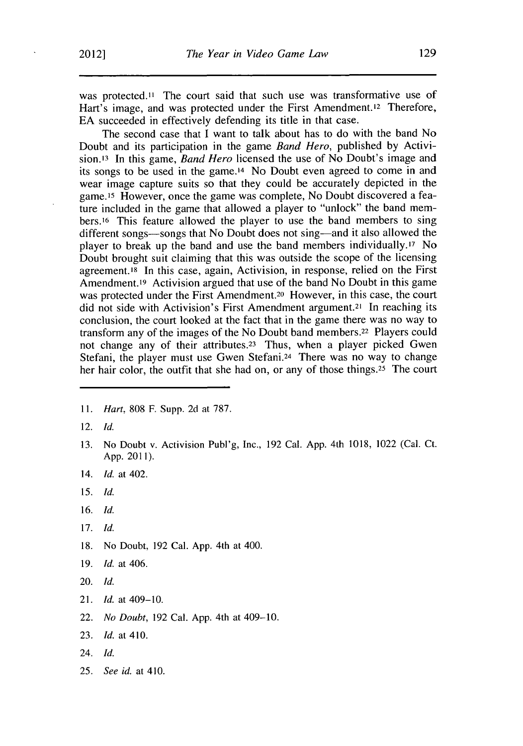was protected.<sup>11</sup> The court said that such use was transformative use of Hart's image, and was protected under the First Amendment.<sup>12</sup> Therefore, EA succeeded in effectively defending its title in that case.

The second case that I want to talk about has to do with the band No Doubt and its participation in the game *Band Hero,* published by Activision.'3 In this game, *Band Hero* licensed the use of No Doubt's image and its songs to be used in the game.<sup>14</sup> No Doubt even agreed to come in and wear image capture suits so that they could be accurately depicted in the game.15 However, once the game was complete, No Doubt discovered a feature included in the game that allowed a player to "unlock" the band members.16 This feature allowed the player to use the band members to sing different songs—songs that No Doubt does not sing—and it also allowed the player to break up the band and use the band members individually.'7 No Doubt brought suit claiming that this was outside the scope of the licensing agreement.<sup>18</sup> In this case, again, Activision, in response, relied on the First Amendment.19 Activision argued that use of the band No Doubt in this game was protected under the First Amendment.<sup>20</sup> However, in this case, the court did not side with Activision's First Amendment argument.2' In reaching its conclusion, the court looked at the fact that in the game there was no way to transform any of the images of the No Doubt band members.22 Players could not change any of their attributes.<sup>23</sup> Thus, when a player picked Gwen Stefani, the player must use Gwen Stefani.24 There was no way to change her hair color, the outfit that she had on, or any of those things.<sup>25</sup> The court

- 11. *Hart,* 808 F. Supp. 2d at 787.
- 12. *Id.*
- 13. No Doubt v. Activision Publ'g, Inc., 192 Cal. App. 4th 1018, 1022 (Cal. Ct. App. 2011).
- 14. *Id.* at 402.
- 15. *Id.*
- 16. *Id.*
- 17. *Id.*
- 18. No Doubt, 192 Cal. App. 4th at 400.
- 19. *Id.* at 406.
- 20. *Id.*
- 21. *Id.* at 409-10.
- 22. *No* Doubt, 192 Cal. App. 4th at 409-10.
- 23. *Id.* at 410.
- 24. *Id.*
- 25. *See id.* at 410.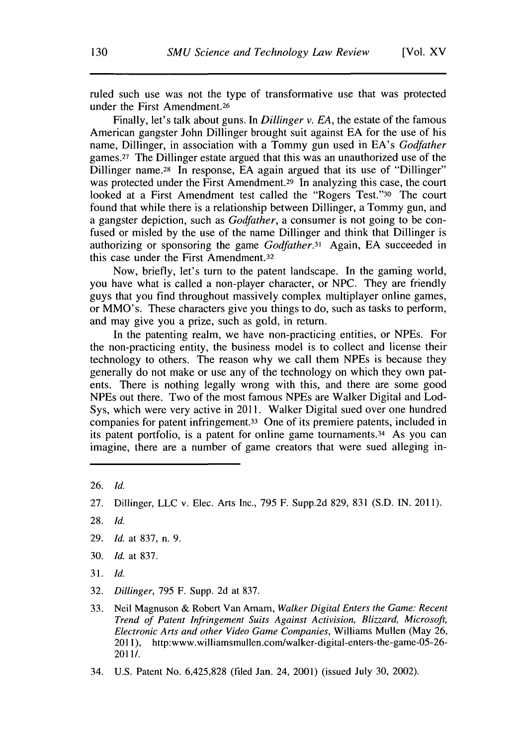ruled such use was not the type of transformative use that was protected under the First Amendment.26

Finally, let's talk about guns. In *Dillinger v. EA,* the estate of the famous American gangster John Dillinger brought suit against EA for the use of his name, Dillinger, in association with a Tommy gun used in EA's *Godfather* games. 27 The Dillinger estate argued that this was an unauthorized use of the Dillinger name.<sup>28</sup> In response, EA again argued that its use of "Dillinger" was protected under the First Amendment.<sup>29</sup> In analyzing this case, the court looked at a First Amendment test called the "Rogers Test."30 The court found that while there is a relationship between Dillinger, a Tommy gun, and a gangster depiction, such as *Godfather,* a consumer is not going to be confused or misled by the use of the name Dillinger and think that Dillinger is authorizing or sponsoring the game *Godfather.31* Again, EA succeeded in this case under the First Amendment.32

Now, briefly, let's turn to the patent landscape. In the gaming world, you have what is called a non-player character, or NPC. They are friendly guys that you find throughout massively complex multiplayer online games, or MMO's. These characters give you things to do, such as tasks to perform, and may give you a prize, such as gold, in return.

In the patenting realm, we have non-practicing entities, or NPEs. For the non-practicing entity, the business model is to collect and license their technology to others. The reason why we call them NPEs is because they generally do not make or use any of the technology on which they own patents. There is nothing legally wrong with this, and there are some good NPEs out there. Two of the most famous NPEs are Walker Digital and Lod-Sys, which were very active in 2011. Walker Digital sued over one hundred companies for patent infringement.33 One of its premiere patents, included in its patent portfolio, is a patent for online game tournaments. 34 As you can imagine, there are a number of game creators that were sued alleging in-

- 29. *Id.* at 837, n. 9.
- 30. *Id.* at 837.
- 31. *Id.*
- 32. *Dillinger,* 795 F. Supp. 2d at 837.
- 33. Neil Magnuson & Robert Van Amam, *Walker Digital Enters the Game: Recent Trend of Patent Infringement Suits Against Activision, Blizzard, Microsoft, Electronic Arts and other Video Game Companies,* Williams Mullen (May 26, 2011), http:www.williamsmullen.com/walker-digital-enters-the-game-05-26- 2011/.
- 34. U.S. Patent No. 6,425,828 (filed Jan. 24, 2001) (issued July 30, 2002).

<sup>26.</sup> *Id.*

<sup>27.</sup> Dillinger, LLC v. Elec. Arts Inc., 795 F. Supp.2d 829, 831 (S.D. IN. 2011).

<sup>28.</sup> *Id.*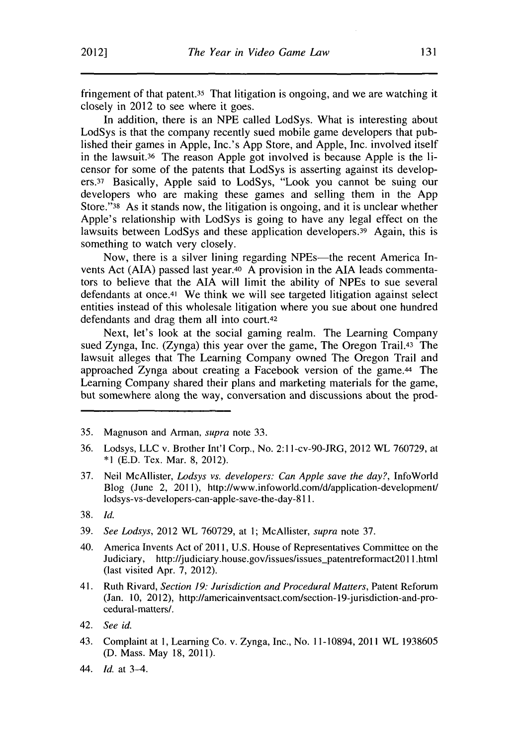fringement of that patent.<sup>35</sup> That litigation is ongoing, and we are watching it closely in 2012 to see where it goes.

In addition, there is an **NPE** called LodSys. What is interesting about LodSys is that the company recently sued mobile game developers that published their games in Apple, Inc.'s **App** Store, and Apple, Inc. involved itself in the lawsuit.36 The reason Apple got involved is because Apple is the licensor for some of the patents that LodSys is asserting against its developers.37 Basically, Apple said to LodSys, "Look you cannot be suing our developers who are making these games and selling them in the **App** Store."38 As it stands now, the litigation is ongoing, and it is unclear whether Apple's relationship with LodSys is going to have any legal effect on the lawsuits between LodSys and these application developers.39 Again, this is something to watch very closely.

Now, there is a silver lining regarding NPEs—the recent America Invents Act **(AIA)** passed last year.<sup>40</sup>**A** provision in the **AIA** leads commentators to believe that the **AIA** will limit the ability of NPEs to sue several defendants at once.<sup>41</sup> We think we will see targeted litigation against select entities instead of this wholesale litigation where you sue about one hundred defendants and drag them all into court.<sup>42</sup>

Next, let's look at the social gaming realm. The Learning Company sued Zynga, Inc. (Zynga) this year over the game, The Oregon Trail.<sup>43</sup> The lawsuit alleges that The Learning Company owned The Oregon Trail and approached Zynga about creating a Facebook version of the game.44 The Learning Company shared their plans and marketing materials for the game, but somewhere along the way, conversation and discussions about the prod-

- **36.** Lodsys, **LLC** v. Brother Int'l Corp., No. 2:1 l-cv-90-JRG, 2012 WL **760729,** at **\*1 (E.D.** Tex. Mar. **8,** 2012).
- **37.** Neil McAllister, *Lodsys vs. developers: Can Apple save the day?,* InfoWorld Blog (June 2, 2011), http://www.infoworld.com/d/application-development/ lodsys-vs-developers-can-apple-save-the-day-8 **11.**
- **38.** *Id.*
- **39.** *See Lodsys,* 2012 WL **760729,** at **1;** McAllister, *supra* note **37.**
- 40. America Invents Act of **2011, U.S.** House of Representatives Committee on the Judiciary, http://judiciary.house.gov/issues/issues\_patentreformact2011.html (last visited Apr. **7,** 2012).
- 41. Ruth Rivard, *Section 19: Jurisdiction and Procedural Matters,* Patent Reforum (Jan. **10,** 2012), http://americainventsact.com/section-19-jurisdiction-and-procedural-matters/.
- 42. *See id.*
- 43. Complaint at **1,** Learning Co. v. Zynga, Inc., No. 11-10894, 2011 WL **1938605 (D.** Mass. May **18, 2011).**
- 44. *Id.* at 3-4.

**<sup>35.</sup>** Magnuson and Arman., *supra* note **33.**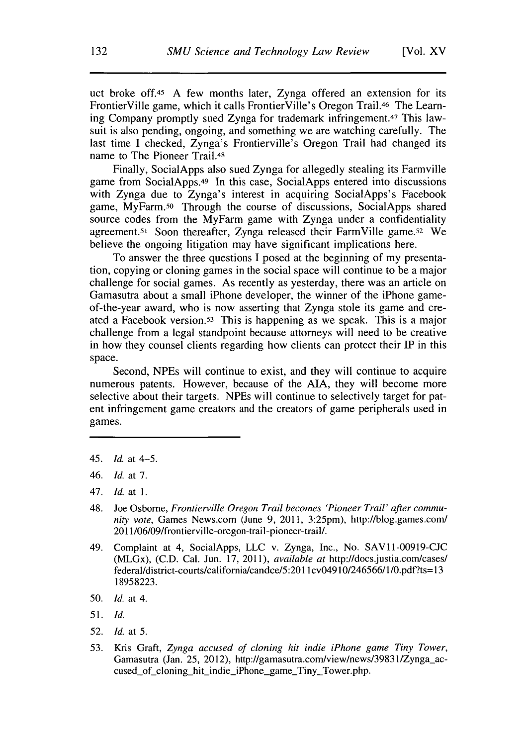uct broke off.<sup>45</sup> A few months later, Zynga offered an extension for its FrontierVille game, which it calls FrontierVille's Oregon Trail.46 The Learning Company promptly sued Zynga for trademark infringement.47 This lawsuit is also pending, ongoing, and something we are watching carefully. The last time I checked, Zynga's Frontierville's Oregon Trail had changed its name to The Pioneer Trail.48

Finally, SocialApps also sued Zynga for allegedly stealing its Farmville game from SocialApps.49 In this case, SocialApps entered into discussions with Zynga due to Zynga's interest in acquiring SocialApps's Facebook game, MyFarm.50 Through the course of discussions, SocialApps shared source codes from the MyFarm game with Zynga under a confidentiality agreement.<sup>51</sup> Soon thereafter, Zynga released their FarmVille game.<sup>52</sup> We believe the ongoing litigation may have significant implications here.

To answer the three questions **I** posed at the beginning of my presentation, copying or cloning games in the social space will continue to be a major challenge for social games. As recently as yesterday, there was an article on Gamasutra about a small iPhone developer, the winner of the iPhone gameof-the-year award, who is now asserting that Zynga stole its game and created a Facebook version.53 This is happening as we speak. This is a major challenge from a legal standpoint because attorneys will need to be creative in how they counsel clients regarding how clients can protect their IP in this space.

Second, NPEs will continue to exist, and they will continue to acquire numerous patents. However, because of the **AIA,** they will become more selective about their targets. NPEs will continue to selectively target for patent infringement game creators and the creators of game peripherals used in games.

- 48. Joe Osborne, *Frontierville Oregon Trail becomes 'Pioneer Trail' after community vote,* Games News.com (June **9,** 2011, 3:25pm), http://blog.games.com/ 2011/06/09/frontierville-oregon-trail-pioneer-trail/.
- 49. Complaint at 4, SocialApps, **LLC** v. Zynga, Inc., No. **SAVII-00919-CJC** (MLGx), **(C.D.** Cal. Jun. **17, 2011),** *available at* http://docs.justia.com/cases/ federal/district-courts/california/candce/5:2011 cv04910/246566/1 /0.pdf?ts= **13 18958223.**
- **50. Id.** at 4.
- **51. Id.**
- **52.** Id. at **5.**
- **53.** Kris Graft, *Zynga accused of cloning hit indie iPhone game Tiny Tower,* Gamasutra (Jan. **25,** 2012), http://gamasutra.com/view/news/39831/Zynga-accused of cloning hit indie iPhone game Tiny Tower.php.

<sup>45.</sup> Id. at 4-5.

<sup>46.</sup> Id. at **7.**

<sup>47.</sup> Id. at **1.**